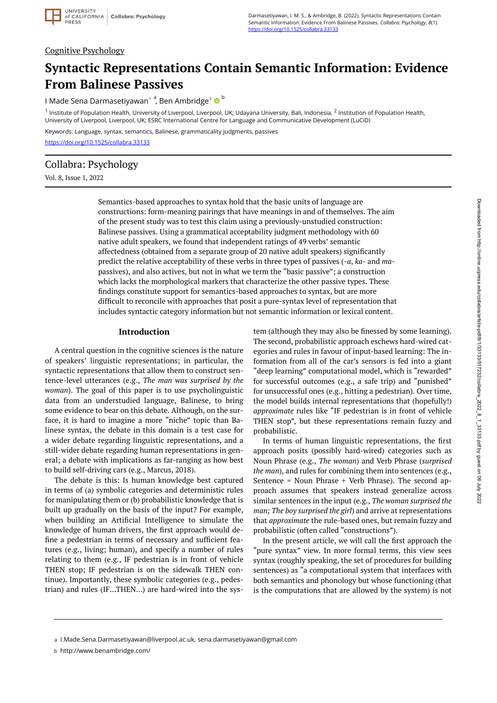## Cognitive Psychology

# **Syntactic Representations Contain Semantic Information: Evidence From Balinese Passives**

I Made Sena Darmasetiyawan<sup>1a</sup>, Ben Ambridge<sup>2</sup> © <sup>b</sup>

<sup>1</sup> Institute of Population Health, University of Liverpool, Liverpool, UK; Udayana University, Bali, Indonesia, <sup>2</sup> Institution of Population Health, University of Liverpool, Liverpool, UK; ESRC International Centre for Language and Communicative Development (LuCiD)

Keywords: Language, syntax, semantics, Balinese, grammaticality judgments, passives

<https://doi.org/10.1525/collabra.33133>

# Collabra: Psychology

Vol. 8, Issue 1, 2022

Semantics-based approaches to syntax hold that the basic units of language are constructions: form-meaning pairings that have meanings in and of themselves. The aim of the present study was to test this claim using a previously-unstudied construction: Balinese passives. Using a grammatical acceptability judgment methodology with 60 native adult speakers, we found that independent ratings of 49 verbs' semantic affectedness (obtained from a separate group of 20 native adult speakers) significantly predict the relative acceptability of these verbs in three types of passives (-*a*, *ka*- and *ma*passives), and also actives, but not in what we term the "basic passive"; a construction which lacks the morphological markers that characterize the other passive types. These findings constitute support for semantics-based approaches to syntax, but are more difficult to reconcile with approaches that posit a pure-syntax level of representation that includes syntactic category information but not semantic information or lexical content.

#### **Introduction**

A central question in the cognitive sciences is the nature of speakers' linguistic representations; in particular, the syntactic representations that allow them to construct sentence-level utterances (e.g., *The man was surprised by the woman*). The goal of this paper is to use psycholinguistic data from an understudied language, Balinese, to bring some evidence to bear on this debate. Although, on the surface, it is hard to imagine a more "niche" topic than Balinese syntax, the debate in this domain is a test case for a wider debate regarding linguistic representations, and a still-wider debate regarding human representations in general; a debate with implications as far-ranging as how best to build self-driving cars (e.g., Marcus, 2018).

The debate is this: Is human knowledge best captured in terms of (a) symbolic categories and deterministic rules for manipulating them or (b) probabilistic knowledge that is built up gradually on the basis of the input? For example, when building an Artificial Intelligence to simulate the knowledge of human drivers, the first approach would define a pedestrian in terms of necessary and sufficient features (e.g., living; human), and specify a number of rules relating to them (e.g., IF pedestrian is in front of vehicle THEN stop; IF pedestrian is on the sidewalk THEN continue). Importantly, these symbolic categories (e.g., pedestrian) and rules (IF…THEN…) are hard-wired into the system (although they may also be finessed by some learning). The second, probabilistic approach eschews hard-wired categories and rules in favour of input-based learning: The information from all of the car's sensors is fed into a giant "deep learning" computational model, which is "rewarded" for successful outcomes (e.g., a safe trip) and "punished" for unsuccessful ones (e.g., hitting a pedestrian). Over time, the model builds internal representations that (hopefully!) *approximate* rules like "IF pedestrian is in front of vehicle THEN stop", but these representations remain fuzzy and probabilistic.

In terms of human linguistic representations, the first approach posits (possibly hard-wired) categories such as Noun Phrase (e.g., *The woman*) and Verb Phrase (*surprised the man*), and rules for combining them into sentences (e.g., Sentence = Noun Phrase + Verb Phrase). The second approach assumes that speakers instead generalize across similar sentences in the input (e.g., *The woman surprised the man; The boy surprised the girl*) and arrive at representations that *approximate* the rule-based ones, but remain fuzzy and probabilistic (often called "constructions").

In the present article, we will call the first approach the "pure syntax" view. In more formal terms, this view sees syntax (roughly speaking, the set of procedures for building sentences) as "a computational system that interfaces with both semantics and phonology but whose functioning (that is the computations that are allowed by the system) is not

I.Made.Sena.Darmasetiyawan@liverpool.ac.uk, sena.darmasetiyawan@gmail.com a

http://www.benambridge.com/ b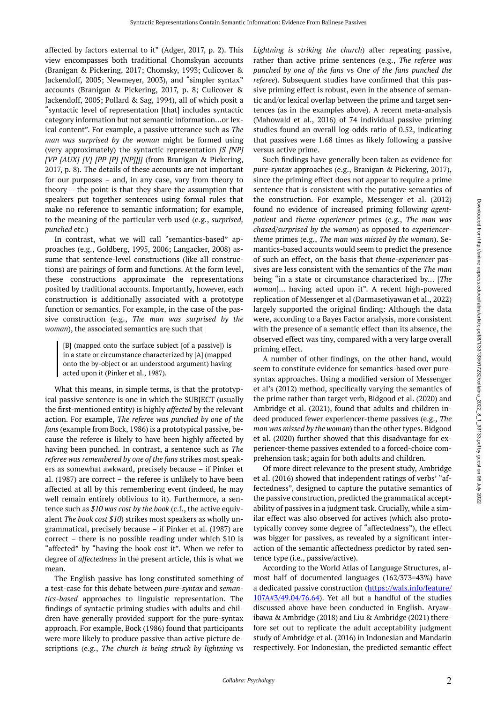affected by factors external to it" (Adger, 2017, p. 2). This view encompasses both traditional Chomskyan accounts (Branigan & Pickering, 2017; Chomsky, 1993; Culicover & Jackendoff, 2005; Newmeyer, 2003), and "simpler syntax" accounts (Branigan & Pickering, 2017, p. 8; Culicover & Jackendoff, 2005; Pollard & Sag, 1994), all of which posit a "syntactic level of representation [that] includes syntactic category information but not semantic information…or lexical content". For example, a passive utterance such as *The man was surprised by the woman* might be formed using (very approximately) the syntactic representation *[S [NP] [VP [AUX] [V] [PP [P] [NP]]]]* (from Branigan & Pickering, 2017, p. 8). The details of these accounts are not important for our purposes – and, in any case, vary from theory to theory – the point is that they share the assumption that speakers put together sentences using formal rules that make no reference to semantic information; for example, to the meaning of the particular verb used (e.g., *surprised, punched* etc.)

In contrast, what we will call "semantics-based" approaches (e.g., Goldberg, 1995, 2006; Langacker, 2008) assume that sentence-level constructions (like all constructions) are pairings of form and functions. At the form level, these constructions approximate the representations posited by traditional accounts. Importantly, however, each construction is additionally associated with a prototype function or semantics. For example, in the case of the passive construction (e.g., *The man was surprised by the woman*), the associated semantics are such that

[B] (mapped onto the surface subject [of a passive]) is in a state or circumstance characterized by [A] (mapped onto the by-object or an understood argument) having acted upon it (Pinker et al., 1987).

What this means, in simple terms, is that the prototypical passive sentence is one in which the SUBJECT (usually the first-mentioned entity) is highly *affected* by the relevant action. For example, *The referee was punched by one of the fans* (example from Bock, 1986) is a prototypical passive, because the referee is likely to have been highly affected by having been punched. In contrast, a sentence such as *The referee was remembered by one of the fans* strikes most speakers as somewhat awkward, precisely because – if Pinker et al. (1987) are correct – the referee is unlikely to have been affected at all by this remembering event (indeed, he may well remain entirely oblivious to it). Furthermore, a sentence such as *\$10 was cost by the book* (c.f., the active equivalent *The book cost \$10*) strikes most speakers as wholly ungrammatical, precisely because – if Pinker et al. (1987) are correct – there is no possible reading under which \$10 is "affected" by "having the book cost it". When we refer to degree of *affectedness* in the present article, this is what we mean.

The English passive has long constituted something of a test-case for this debate between *pure-syntax* and *semantics-based* approaches to linguistic representation. The findings of syntactic priming studies with adults and children have generally provided support for the pure-syntax approach. For example, Bock (1986) found that participants were more likely to produce passive than active picture descriptions (e.g., *The church is being struck by lightning* vs

*Lightning is striking the church*) after repeating passive, rather than active prime sentences (e.g., *The referee was punched by one of the fans* vs *One of the fans punched the referee*). Subsequent studies have confirmed that this passive priming effect is robust, even in the absence of semantic and/or lexical overlap between the prime and target sentences (as in the examples above). A recent meta-analysis (Mahowald et al., 2016) of 74 individual passive priming studies found an overall log-odds ratio of 0.52, indicating that passives were 1.68 times as likely following a passive versus active prime.

Such findings have generally been taken as evidence for *pure-syntax* approaches (e.g., Branigan & Pickering, 2017), since the priming effect does not appear to require a prime sentence that is consistent with the putative semantics of the construction. For example, Messenger et al. (2012) found no evidence of increased priming following *agentpatient* and *theme-experiencer* primes (e.g., *The man was chased/surprised by the woman*) as opposed to *experiencertheme* primes (e.g., *The man was missed by the woman*). Semantics-based accounts would seem to predict the presence of such an effect, on the basis that *theme-experiencer* passives are less consistent with the semantics of the *The man*  being "in a state or circumstance characterized by… [*The woman*]… having acted upon it". A recent high-powered replication of Messenger et al (Darmasetiyawan et al., 2022) largely supported the original finding: Although the data were, according to a Bayes Factor analysis, more consistent with the presence of a semantic effect than its absence, the observed effect was tiny, compared with a very large overall priming effect.

A number of other findings, on the other hand, would seem to constitute evidence for semantics-based over puresyntax approaches. Using a modified version of Messenger et al's (2012) method, specifically varying the semantics of the prime rather than target verb, Bidgood et al. (2020) and Ambridge et al. (2021), found that adults and children indeed produced fewer experiencer-theme passives (e.g., *The man was missed by the woman*) than the other types. Bidgood et al. (2020) further showed that this disadvantage for experiencer-theme passives extended to a forced-choice comprehension task; again for both adults and children.

Of more direct relevance to the present study, Ambridge et al. (2016) showed that independent ratings of verbs' "affectedness", designed to capture the putative semantics of the passive construction, predicted the grammatical acceptability of passives in a judgment task. Crucially, while a similar effect was also observed for actives (which also prototypically convey some degree of "affectedness"), the effect was bigger for passives, as revealed by a significant interaction of the semantic affectedness predictor by rated sentence type (i.e., passive/active).

According to the World Atlas of Language Structures, almost half of documented languages (162/373=43%) have a dedicated passive construction [\(https://wals.info/feature/](https://wals.info/feature/107A#3/49.04/76.64) [107A#3/49.04/76.64\)](https://wals.info/feature/107A#3/49.04/76.64). Yet all but a handful of the studies discussed above have been conducted in English. Aryawibawa & Ambridge (2018) and Liu & Ambridge (2021) therefore set out to replicate the adult acceptability judgment study of Ambridge et al. (2016) in Indonesian and Mandarin respectively. For Indonesian, the predicted semantic effect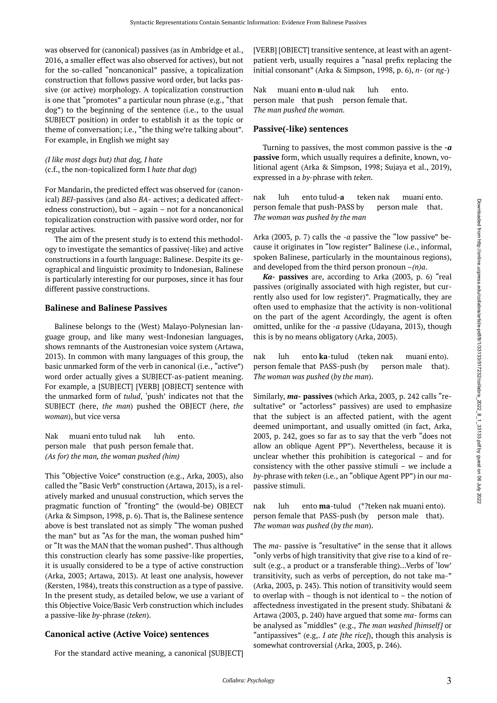was observed for (canonical) passives (as in Ambridge et al., 2016, a smaller effect was also observed for actives), but not for the so-called "noncanonical" passive, a topicalization construction that follows passive word order, but lacks passive (or active) morphology. A topicalization construction is one that "promotes" a particular noun phrase (e.g., "that dog") to the beginning of the sentence (i.e., to the usual SUBJECT position) in order to establish it as the topic or theme of conversation; i.e., "the thing we're talking about". For example, in English we might say

# *(I like most dogs but) that dog, I hate*  (c.f., the non-topicalized form I *hate that dog*)

For Mandarin, the predicted effect was observed for (canonical) *BEI*-passives (and also *BA*- actives; a dedicated affectedness construction), but – again – not for a noncanonical topicalization construction with passive word order, nor for regular actives.

The aim of the present study is to extend this methodology to investigate the semantics of passive(-like) and active constructions in a fourth language: Balinese. Despite its geographical and linguistic proximity to Indonesian, Balinese is particularly interesting for our purposes, since it has four different passive constructions.

## **Balinese and Balinese Passives**

Balinese belongs to the (West) Malayo-Polynesian language group, and like many west-Indonesian languages, shows remnants of the Austronesian voice system (Artawa, 2013). In common with many languages of this group, the basic unmarked form of the verb in canonical (i.e., "active") word order actually gives a SUBJECT-as-patient meaning. For example, a [SUBJECT] [VERB] [OBJECT] sentence with the unmarked form of *tulud*, 'push' indicates not that the SUBJECT (here, *the man*) pushed the OBJECT (here, *the woman*), but vice versa

Nak muani ento tulud nak luh ento. person male that push person female that. *(As for) the man, the woman pushed (him)* 

This "Objective Voice" construction (e.g., Arka, 2003), also called the "Basic Verb" construction (Artawa, 2013), is a relatively marked and unusual construction, which serves the pragmatic function of "fronting" the (would-be) OBJECT (Arka & Simpson, 1998, p. 6). That is, the Balinese sentence above is best translated not as simply "The woman pushed the man" but as "As for the man, the woman pushed him" or "It was the MAN that the woman pushed". Thus although this construction clearly has some passive-like properties, it is usually considered to be a type of active construction (Arka, 2003; Artawa, 2013). At least one analysis, however (Kersten, 1984), treats this construction as a type of passive. In the present study, as detailed below, we use a variant of this Objective Voice/Basic Verb construction which includes a passive-like *by*-phrase (*teken*).

# **Canonical active (Active Voice) sentences**

For the standard active meaning, a canonical [SUBJECT]

[VERB] [OBJECT] transitive sentence, at least with an agentpatient verb, usually requires a "nasal prefix replacing the initial consonant" (Arka & Simpson, 1998, p. 6), *n-* (or *ng-*)

Nak muani ento **n**-ulud nak luh ento. person male that push person female that. *The man pushed the woman.* 

## **Passive(-like) sentences**

Turning to passives, the most common passive is the *-a*  **passive** form, which usually requires a definite, known, volitional agent (Arka & Simpson, 1998; Sujaya et al., 2019), expressed in a *by*-phrase with *teken*.

nak luh ento tulud-**a** teken nak muani ento. person female that push-PASS by person male that. *The woman was pushed by the man* 

Arka (2003, p. 7) calls the *-a* passive the "low passive" because it originates in "low register" Balinese (i.e., informal, spoken Balinese, particularly in the mountainous regions), and developed from the third person pronoun *–(n)a*.

*Ka-* **passives** are, according to Arka (2003, p. 6) "real passives (originally associated with high register, but currently also used for low register)". Pragmatically, they are often used to emphasize that the activity is non-volitional on the part of the agent Accordingly, the agent is often omitted, unlike for the *-a* passive (Udayana, 2013), though this is by no means obligatory (Arka, 2003).

nak luh ento **ka**-tulud (teken nak muani ento). person female that PASS-push (by person male that). *The woman was pushed* (*by the man*).

Similarly, *ma-* **passives** (which Arka, 2003, p. 242 calls "resultative" or "actorless" passives) are used to emphasize that the subject is an affected patient, with the agent deemed unimportant, and usually omitted (in fact, Arka, 2003, p. 242, goes so far as to say that the verb "does not allow an oblique Agent PP"). Nevertheless, because it is unclear whether this prohibition is categorical – and for consistency with the other passive stimuli – we include a *by*-phrase with *teken* (i.e., an "oblique Agent PP") in our *ma*passive stimuli.

nak luh ento **ma**-tulud (\*?teken nak muani ento). person female that PASS-push (by person male that). *The woman was pushed* (*by the man*).

The *ma-* passive is "resultative" in the sense that it allows "only verbs of high transitivity that give rise to a kind of result (e.g., a product or a transferable thing)…Verbs of 'low' transitivity, such as verbs of perception, do not take ma-" (Arka, 2003, p. 243). This notion of transitivity would seem to overlap with – though is not identical to – the notion of affectedness investigated in the present study. Shibatani & Artawa (2003, p. 240) have argued that some *ma-* forms can be analysed as "middles" (e.g., *The man washed [himself]* or "antipassives" (e.g,. *I ate [the rice]*), though this analysis is somewhat controversial (Arka, 2003, p. 246).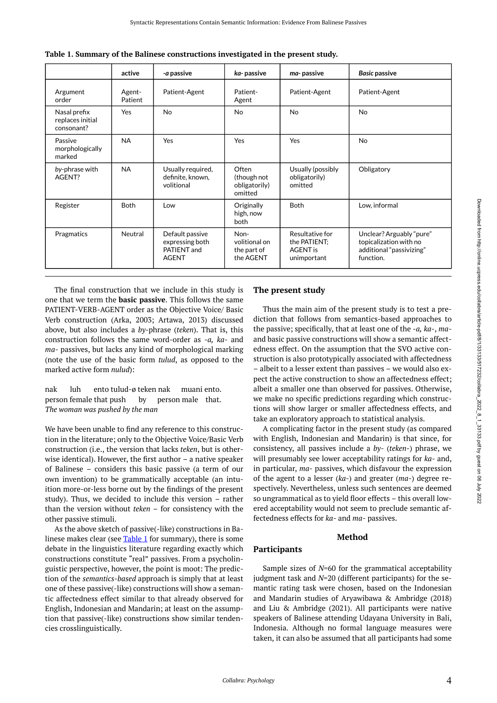<span id="page-3-0"></span>

|                                                | active            | <i>-a</i> passive                                                 | ka-passive                                        | ma-passive                                                        | <b>Basic passive</b>                                                                        |
|------------------------------------------------|-------------------|-------------------------------------------------------------------|---------------------------------------------------|-------------------------------------------------------------------|---------------------------------------------------------------------------------------------|
| Argument<br>order                              | Agent-<br>Patient | Patient-Agent                                                     | Patient-<br>Agent                                 | Patient-Agent                                                     | Patient-Agent                                                                               |
| Nasal prefix<br>replaces initial<br>consonant? | Yes               | <b>No</b>                                                         | <b>No</b>                                         | <b>No</b>                                                         | <b>No</b>                                                                                   |
| Passive<br>morphologically<br>marked           | <b>NA</b>         | <b>Yes</b>                                                        | Yes                                               | Yes                                                               | No                                                                                          |
| by-phrase with<br>AGENT?                       | <b>NA</b>         | Usually required,<br>definite, known,<br>volitional               | Often<br>(though not<br>obligatorily)<br>omitted  | Usually (possibly<br>obligatorily)<br>omitted                     | Obligatory                                                                                  |
| Register                                       | <b>Both</b>       | Low                                                               | Originally<br>high, now<br>both                   | <b>Both</b>                                                       | Low, informal                                                                               |
| Pragmatics                                     | Neutral           | Default passive<br>expressing both<br>PATIENT and<br><b>AGENT</b> | Non-<br>volitional on<br>the part of<br>the AGENT | Resultative for<br>the PATIENT:<br><b>AGENT</b> is<br>unimportant | Unclear? Arguably "pure"<br>topicalization with no<br>additional "passivizing"<br>function. |

The final construction that we include in this study is one that we term the **basic passive**. This follows the same PATIENT-VERB-AGENT order as the Objective Voice/ Basic Verb construction (Arka, 2003; Artawa, 2013) discussed above, but also includes a *by-*phrase (*teken*). That is, this construction follows the same word-order as *-a, ka-* and *ma-* passives, but lacks any kind of morphological marking (note the use of the basic form *tulud*, as opposed to the marked active form *nulud*):

nak luh ento tulud-ø teken nak muani ento. person female that push by person male that. *The woman was pushed by the man* 

We have been unable to find any reference to this construction in the literature; only to the Objective Voice/Basic Verb construction (i.e., the version that lacks *teken*, but is otherwise identical). However, the first author – a native speaker of Balinese – considers this basic passive (a term of our own invention) to be grammatically acceptable (an intuition more-or-less borne out by the findings of the present study). Thus, we decided to include this version – rather than the version without *teken* – for consistency with the other passive stimuli.

As the above sketch of passive(-like) constructions in Ba-linese makes clear (see [Table 1](#page-3-0) for summary), there is some debate in the linguistics literature regarding exactly which constructions constitute "real" passives. From a psycholinguistic perspective, however, the point is moot: The prediction of the *semantics-based* approach is simply that at least one of these passive(-like) constructions will show a semantic affectedness effect similar to that already observed for English, Indonesian and Mandarin; at least on the assumption that passive(-like) constructions show similar tendencies crosslinguistically.

# **The present study**

Thus the main aim of the present study is to test a prediction that follows from semantics-based approaches to the passive; specifically, that at least one of the -*a, ka-*, *ma*and basic passive constructions will show a semantic affectedness effect. On the assumption that the SVO active construction is also prototypically associated with affectedness – albeit to a lesser extent than passives – we would also expect the active construction to show an affectedness effect; albeit a smaller one than observed for passives. Otherwise, we make no specific predictions regarding which constructions will show larger or smaller affectedness effects, and take an exploratory approach to statistical analysis.

A complicating factor in the present study (as compared with English, Indonesian and Mandarin) is that since, for consistency, all passives include a *by-* (*teken-*) phrase, we will presumably see lower acceptability ratings for *ka-* and, in particular, *ma-* passives, which disfavour the expression of the agent to a lesser (*ka-*) and greater (*ma-*) degree respectively. Nevertheless, unless such sentences are deemed so ungrammatical as to yield floor effects – this overall lowered acceptability would not seem to preclude semantic affectedness effects for *ka-* and *ma-* passives.

#### **Method**

# **Participants**

Sample sizes of *N*=60 for the grammatical acceptability judgment task and *N*=20 (different participants) for the semantic rating task were chosen, based on the Indonesian and Mandarin studies of Aryawibawa & Ambridge (2018) and Liu & Ambridge (2021). All participants were native speakers of Balinese attending Udayana University in Bali, Indonesia. Although no formal language measures were taken, it can also be assumed that all participants had some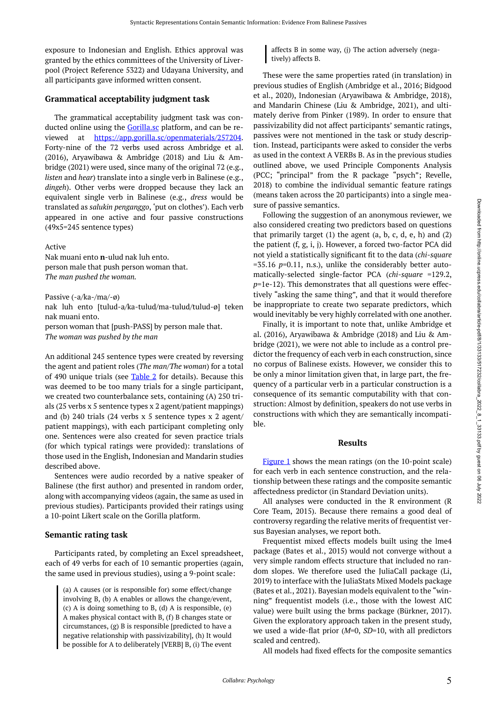exposure to Indonesian and English. Ethics approval was granted by the ethics committees of the University of Liverpool (Project Reference 5322) and Udayana University, and all participants gave informed written consent.

### **Grammatical acceptability judgment task**

The grammatical acceptability judgment task was con-ducted online using the [Gorilla.sc](http://gorilla.sc/) platform, and can be reviewed at <https://app.gorilla.sc/openmaterials/257204>. Forty-nine of the 72 verbs used across Ambridge et al. (2016), Aryawibawa & Ambridge (2018) and Liu & Ambridge (2021) were used, since many of the original 72 (e.g., *listen* and *hear*) translate into a single verb in Balinese (e.g., *dingeh*). Other verbs were dropped because they lack an equivalent single verb in Balinese (e.g., *dress* would be translated as *salukin penganggo*, 'put on clothes'). Each verb appeared in one active and four passive constructions (49x5=245 sentence types)

Active

Nak muani ento **n**-ulud nak luh ento. person male that push person woman that. *The man pushed the woman.* 

Passive (-a/ka-/ma/-ø) nak luh ento [tulud-a/ka-tulud/ma-tulud/tulud-ø] teken nak muani ento. person woman that [push-PASS] by person male that. *The woman was pushed by the man* 

An additional 245 sentence types were created by reversing the agent and patient roles (*The man/The woman*) for a total of 490 unique trials (see  $Table 2$  for details). Because this was deemed to be too many trials for a single participant, we created two counterbalance sets, containing (A) 250 trials (25 verbs x 5 sentence types x 2 agent/patient mappings) and (b) 240 trials (24 verbs x 5 sentence types x 2 agent/ patient mappings), with each participant completing only one. Sentences were also created for seven practice trials (for which typical ratings were provided): translations of those used in the English, Indonesian and Mandarin studies described above.

Sentences were audio recorded by a native speaker of Balinese (the first author) and presented in random order, along with accompanying videos (again, the same as used in previous studies). Participants provided their ratings using a 10-point Likert scale on the Gorilla platform.

#### **Semantic rating task**

Participants rated, by completing an Excel spreadsheet, each of 49 verbs for each of 10 semantic properties (again, the same used in previous studies), using a 9-point scale:

(a) A causes (or is responsible for) some effect/change involving B, (b) A enables or allows the change/event, (c) A is doing something to B, (d) A is responsible, (e) A makes physical contact with B, (f) B changes state or circumstances, (g) B is responsible [predicted to have a negative relationship with passivizability], (h) It would be possible for A to deliberately [VERB] B, (i) The event

affects B in some way, (j) The action adversely (negatively) affects B.

These were the same properties rated (in translation) in previous studies of English (Ambridge et al., 2016; Bidgood et al., 2020), Indonesian (Aryawibawa & Ambridge, 2018), and Mandarin Chinese (Liu & Ambridge, 2021), and ultimately derive from Pinker (1989). In order to ensure that passivizability did not affect participants' semantic ratings, passives were not mentioned in the task or study description. Instead, participants were asked to consider the verbs as used in the context A VERBs B. As in the previous studies outlined above, we used Principle Components Analysis (PCC; "principal" from the R package "psych"; Revelle, 2018) to combine the individual semantic feature ratings (means taken across the 20 participants) into a single measure of passive semantics.

Following the suggestion of an anonymous reviewer, we also considered creating two predictors based on questions that primarily target  $(1)$  the agent  $(a, b, c, d, e, h)$  and  $(2)$ the patient (f, g, i, j). However, a forced two-factor PCA did not yield a statistically significant fit to the data (*chi-square*   $=$  35.16  $p$ =0.11, n.s.), unlike the considerably better automatically-selected single-factor PCA (*chi-square* =129.2, *p*=1e-12). This demonstrates that all questions were effectively "asking the same thing", and that it would therefore be inappropriate to create two separate predictors, which would inevitably be very highly correlated with one another.

Finally, it is important to note that, unlike Ambridge et al. (2016), Aryawibawa & Ambridge (2018) and Liu & Ambridge (2021), we were not able to include as a control predictor the frequency of each verb in each construction, since no corpus of Balinese exists. However, we consider this to be only a minor limitation given that, in large part, the frequency of a particular verb in a particular construction is a consequence of its semantic computability with that construction: Almost by definition, speakers do not use verbs in constructions with which they are semantically incompatible.

#### **Results**

[Figure 1](#page-6-0) shows the mean ratings (on the 10-point scale) for each verb in each sentence construction, and the relationship between these ratings and the composite semantic affectedness predictor (in Standard Deviation units).

All analyses were conducted in the R environment (R Core Team, 2015). Because there remains a good deal of controversy regarding the relative merits of frequentist versus Bayesian analyses, we report both.

Frequentist mixed effects models built using the lme4 package (Bates et al., 2015) would not converge without a very simple random effects structure that included no random slopes. We therefore used the JuliaCall package (Li, 2019) to interface with the JuliaStats Mixed Models package (Bates et al., 2021). Bayesian models equivalent to the "winning" frequentist models (i.e., those with the lowest AIC value) were built using the brms package (Bürkner, 2017). Given the exploratory approach taken in the present study, we used a wide-flat prior (*M*=0, *SD*=10, with all predictors scaled and centred).

All models had fixed effects for the composite semantics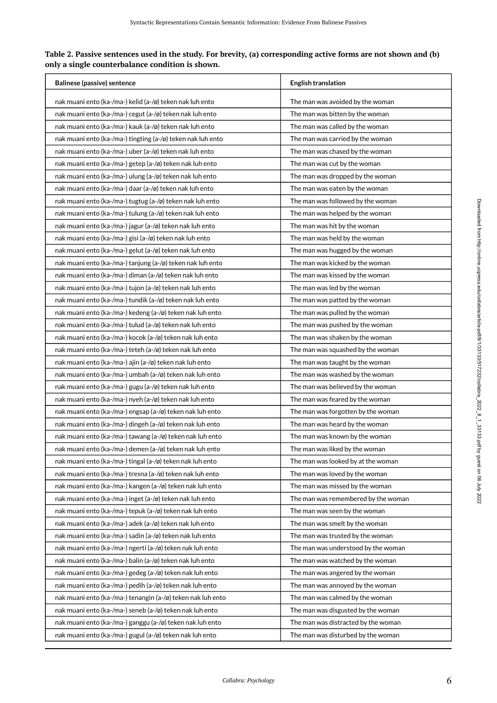<span id="page-5-0"></span>

| Table 2. Passive sentences used in the study. For brevity, (a) corresponding active forms are not shown and (b) |  |
|-----------------------------------------------------------------------------------------------------------------|--|
| only a single counterbalance condition is shown.                                                                |  |

| <b>Balinese (passive) sentence</b>                          | <b>English translation</b>          |  |  |
|-------------------------------------------------------------|-------------------------------------|--|--|
| nak muani ento (ka-/ma-) kelid (a-/ø) teken nak luh ento    | The man was avoided by the woman    |  |  |
| nak muani ento (ka-/ma-) cegut (a-/ø) teken nak luh ento    | The man was bitten by the woman     |  |  |
| nak muani ento (ka-/ma-) kauk (a-/ø) teken nak luh ento     | The man was called by the woman     |  |  |
| nak muani ento (ka-/ma-) tingting (a-/ø) teken nak luh ento | The man was carried by the woman    |  |  |
| nak muani ento (ka-/ma-) uber (a-/ø) teken nak luh ento     | The man was chased by the woman     |  |  |
| nak muani ento (ka-/ma-) getep (a-/ø) teken nak luh ento    | The man was cut by the woman        |  |  |
| nak muani ento (ka-/ma-) ulung (a-/ø) teken nak luh ento    | The man was dropped by the woman    |  |  |
| nak muani ento (ka-/ma-) daar (a-/ø) teken nak luh ento     | The man was eaten by the woman      |  |  |
| nak muani ento (ka-/ma-) tugtug (a-/ø) teken nak luh ento   | The man was followed by the woman   |  |  |
| nak muani ento (ka-/ma-) tulung (a-/ø) teken nak luh ento   | The man was helped by the woman     |  |  |
| nak muani ento (ka-/ma-) jagur (a-/ø) teken nak luh ento    | The man was hit by the woman        |  |  |
| nak muani ento (ka-/ma-) gisi (a-/ø) teken nak luh ento     | The man was held by the woman       |  |  |
| nak muani ento (ka-/ma-) gelut (a-/ø) teken nak luh ento    | The man was hugged by the woman     |  |  |
| nak muani ento (ka-/ma-) tanjung (a-/ø) teken nak luh ento  | The man was kicked by the woman     |  |  |
| nak muani ento (ka-/ma-) diman (a-/ø) teken nak luh ento    | The man was kissed by the woman     |  |  |
| nak muani ento (ka-/ma-) tujon (a-/ø) teken nak luh ento    | The man was led by the woman        |  |  |
| nak muani ento (ka-/ma-) tundik (a-/ø) teken nak luh ento   | The man was patted by the woman     |  |  |
| nak muani ento (ka-/ma-) kedeng (a-/ø) teken nak luh ento   | The man was pulled by the woman     |  |  |
| nak muani ento (ka-/ma-) tulud (a-/ø) teken nak luh ento    | The man was pushed by the woman     |  |  |
| nak muani ento (ka-/ma-) kocok (a-/ø) teken nak luh ento    | The man was shaken by the woman     |  |  |
| nak muani ento (ka-/ma-) teteh (a-/ø) teken nak luh ento    | The man was squashed by the woman   |  |  |
| nak muani ento (ka-/ma-) ajin (a-/ø) teken nak luh ento     | The man was taught by the woman     |  |  |
| nak muani ento (ka-/ma-) umbah (a-/ø) teken nak luh ento    | The man was washed by the woman     |  |  |
| nak muani ento (ka-/ma-) gugu (a-/ø) teken nak luh ento     | The man was believed by the woman   |  |  |
| nak muani ento (ka-/ma-) nyeh (a-/ø) teken nak luh ento     | The man was feared by the woman     |  |  |
| nak muani ento (ka-/ma-) engsap (a-/ø) teken nak luh ento   | The man was forgotten by the woman  |  |  |
| nak muani ento (ka-/ma-) dingeh (a-/ø) teken nak luh ento   | The man was heard by the woman      |  |  |
| nak muani ento (ka-/ma-) tawang (a-/ø) teken nak luh ento   | The man was known by the woman      |  |  |
| nak muani ento (ka-/ma-) demen (a-/ø) teken nak luh ento    | The man was liked by the woman      |  |  |
| nak muani ento (ka-/ma-) tingal (a-/ø) teken nak luh ento   | The man was looked by at the woman  |  |  |
| nak muani ento (ka-/ma-) tresna (a-/ø) teken nak luh ento   | The man was loved by the woman      |  |  |
| nak muani ento (ka-/ma-) kangen (a-/ø) teken nak luh ento   | The man was missed by the woman     |  |  |
| nak muani ento (ka-/ma-) inget (a-/ø) teken nak luh ento    | The man was remembered by the woman |  |  |
| nak muani ento (ka-/ma-) tepuk (a-/ø) teken nak luh ento    | The man was seen by the woman       |  |  |
| nak muani ento (ka-/ma-) adek (a-/ø) teken nak luh ento     | The man was smelt by the woman      |  |  |
| nak muani ento (ka-/ma-) sadin (a-/ø) teken nak luh ento    | The man was trusted by the woman    |  |  |
| nak muani ento (ka-/ma-) ngerti (a-/ø) teken nak luh ento   | The man was understood by the woman |  |  |
| nak muani ento (ka-/ma-) balin (a-/ø) teken nak luh ento    | The man was watched by the woman    |  |  |
| nak muani ento (ka-/ma-) gedeg (a-/ø) teken nak luh ento    | The man was angered by the woman    |  |  |
| nak muani ento (ka-/ma-) pedih (a-/ø) teken nak luh ento    | The man was annoyed by the woman    |  |  |
| nak muani ento (ka-/ma-) tenangin (a-/ø) teken nak luh ento | The man was calmed by the woman     |  |  |
| nak muani ento (ka-/ma-) seneb (a-/ø) teken nak luh ento    | The man was disgusted by the woman  |  |  |
| nak muani ento (ka-/ma-) ganggu (a-/ø) teken nak luh ento   | The man was distracted by the woman |  |  |
| nak muani ento (ka-/ma-) gugul (a-/ø) teken nak luh ento    | The man was disturbed by the woman  |  |  |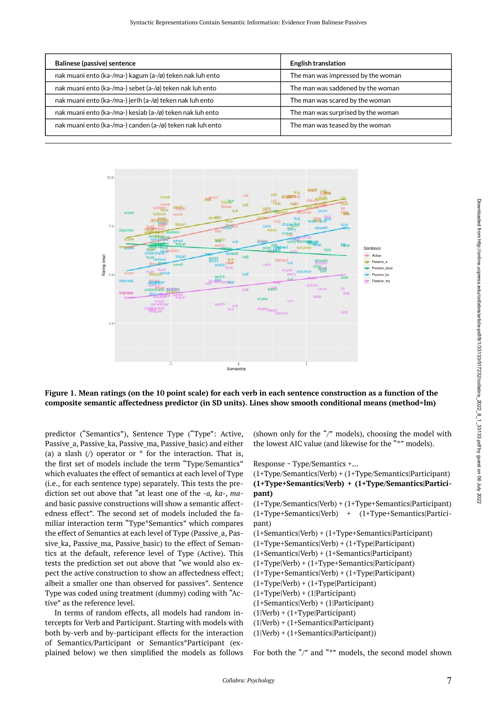| <b>Balinese (passive) sentence</b>                        | <b>English translation</b>         |
|-----------------------------------------------------------|------------------------------------|
| nak muani ento (ka-/ma-) kagum (a-/ø) teken nak luh ento  | The man was impressed by the woman |
| nak muani ento (ka-/ma-) sebet (a-/ø) teken nak luh ento  | The man was saddened by the woman  |
| nak muani ento (ka-/ma-) jerih (a-/ø) teken nak luh ento  | The man was scared by the woman    |
| nak muani ento (ka-/ma-) kesiab (a-/ø) teken nak luh ento | The man was surprised by the woman |
| nak muani ento (ka-/ma-) canden (a-/ø) teken nak luh ento | The man was teased by the woman    |

<span id="page-6-0"></span>

**Figure 1. Mean ratings (on the 10 point scale) for each verb in each sentence construction as a function of the composite semantic affectedness predictor (in SD units). Lines show smooth conditional means (method=lm)** 

predictor ("Semantics"), Sentence Type ("Type": Active, Passive a, Passive ka, Passive ma, Passive basic) and either (a) a slash  $\sqrt{ }$  operator or  $*$  for the interaction. That is, the first set of models include the term "Type/Semantics" which evaluates the effect of semantics at each level of Type (i.e., for each sentence type) separately. This tests the prediction set out above that "at least one of the -*a, ka-*, *ma*and basic passive constructions will show a semantic affectedness effect". The second set of models included the familiar interaction term "Type\*Semantics" which compares the effect of Semantics at each level of Type (Passive\_a, Passive ka, Passive ma, Passive basic) to the effect of Semantics at the default, reference level of Type (Active). This tests the prediction set out above that "we would also expect the active construction to show an affectedness effect; albeit a smaller one than observed for passives". Sentence Type was coded using treatment (dummy) coding with "Active" as the reference level.

In terms of random effects, all models had random intercepts for Verb and Participant. Starting with models with both by-verb and by-participant effects for the interaction of Semantics/Participant or Semantics\*Participant (explained below) we then simplified the models as follows

(shown only for the "/" models), choosing the model with the lowest AIC value (and likewise for the "\*" models).

Response ~ Type/Semantics +…

(1+Type/Semantics|Verb) + (1+Type/Semantics|Participant) **(1+Type+Semantics|Verb) + (1+Type/Semantics|Participant)** 

(1+Type/Semantics|Verb) + (1+Type+Semantics|Participant) (1+Type+Semantics|Verb) + (1+Type+Semantics|Participant)

(1+Semantics|Verb) + (1+Type+Semantics|Participant) (1+Type+Semantics|Verb) + (1+Type|Participant) (1+Semantics|Verb) + (1+Semantics|Participant)

(1+Type|Verb) + (1+Type+Semantics|Participant)

(1+Type+Semantics|Verb) + (1+Type|Participant)

 $(1+Type|Verb) + (1+Type|Participant)$ 

(1+Type|Verb) + (1|Participant)

(1+Semantics|Verb) + (1|Participant)

(1|Verb) + (1+Type|Participant)

(1|Verb) + (1+Semantics|Participant)

(1|Verb) + (1+Semantics|Participant))

For both the "/" and "\*" models, the second model shown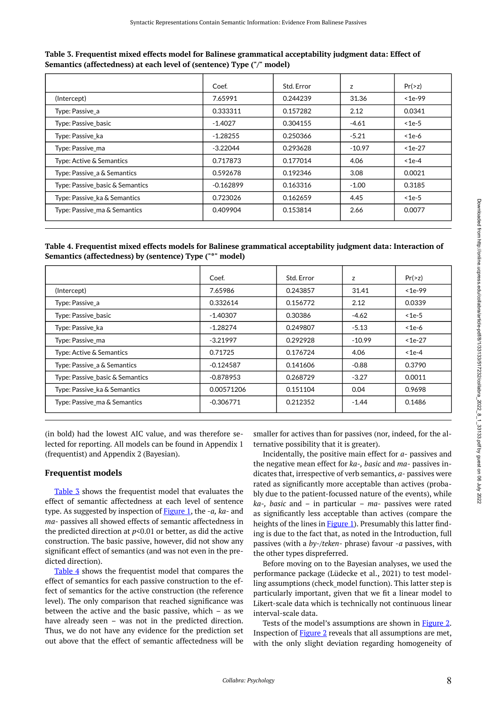|                                 | Coef.       | Std. Error | z        | Pr(>z)   |
|---------------------------------|-------------|------------|----------|----------|
| (Intercept)                     | 7.65991     | 0.244239   | 31.36    | $1e-99$  |
| Type: Passive_a                 | 0.333311    | 0.157282   | 2.12     | 0.0341   |
| Type: Passive_basic             | $-1.4027$   | 0.304155   | $-4.61$  | $<$ 1e-5 |
| Type: Passive ka                | $-1.28255$  | 0.250366   | $-5.21$  | $<$ 1e-6 |
| Type: Passive_ma                | $-3.22044$  | 0.293628   | $-10.97$ | $1e-27$  |
| Type: Active & Semantics        | 0.717873    | 0.177014   | 4.06     | $<$ 1e-4 |
| Type: Passive_a & Semantics     | 0.592678    | 0.192346   | 3.08     | 0.0021   |
| Type: Passive_basic & Semantics | $-0.162899$ | 0.163316   | $-1.00$  | 0.3185   |
| Type: Passive_ka & Semantics    | 0.723026    | 0.162659   | 4.45     | $<$ 1e-5 |
| Type: Passive_ma & Semantics    | 0.409904    | 0.153814   | 2.66     | 0.0077   |

<span id="page-7-0"></span>**Table 3. Frequentist mixed effects model for Balinese grammatical acceptability judgment data: Effect of Semantics (affectedness) at each level of (sentence) Type ("/" model)** 

<span id="page-7-1"></span>**Table 4. Frequentist mixed effects models for Balinese grammatical acceptability judgment data: Interaction of Semantics (affectedness) by (sentence) Type ("\*" model)** 

|                                 | Coef.       | Std. Error | z        | Pr(>z)   |
|---------------------------------|-------------|------------|----------|----------|
| (Intercept)                     | 7.65986     | 0.243857   | 31.41    | $1e-99$  |
| Type: Passive a                 | 0.332614    | 0.156772   | 2.12     | 0.0339   |
| Type: Passive basic             | $-1.40307$  | 0.30386    | $-4.62$  | $<$ 1e-5 |
| Type: Passive ka                | $-1.28274$  | 0.249807   | $-5.13$  | $<$ 1e-6 |
| Type: Passive_ma                | $-3.21997$  | 0.292928   | $-10.99$ | $1e-27$  |
| Type: Active & Semantics        | 0.71725     | 0.176724   | 4.06     | $<$ 1e-4 |
| Type: Passive_a & Semantics     | $-0.124587$ | 0.141606   | $-0.88$  | 0.3790   |
| Type: Passive_basic & Semantics | $-0.878953$ | 0.268729   | $-3.27$  | 0.0011   |
| Type: Passive_ka & Semantics    | 0.00571206  | 0.151104   | 0.04     | 0.9698   |
| Type: Passive ma & Semantics    | $-0.306771$ | 0.212352   | $-1.44$  | 0.1486   |

(in bold) had the lowest AIC value, and was therefore selected for reporting. All models can be found in Appendix 1 (frequentist) and Appendix 2 (Bayesian).

# **Frequentist models**

[Table 3](#page-7-0) shows the frequentist model that evaluates the effect of semantic affectedness at each level of sentence type. As suggested by inspection of [Figure 1,](#page-6-0) the -*a, ka-* and *ma-* passives all showed effects of semantic affectedness in the predicted direction at  $p$ <0.01 or better, as did the active construction. The basic passive, however, did not show any significant effect of semantics (and was not even in the predicted direction).

[Table 4](#page-7-1) shows the frequentist model that compares the effect of semantics for each passive construction to the effect of semantics for the active construction (the reference level). The only comparison that reached significance was between the active and the basic passive, which – as we have already seen – was not in the predicted direction. Thus, we do not have any evidence for the prediction set out above that the effect of semantic affectedness will be

smaller for actives than for passives (nor, indeed, for the alternative possibility that it is greater).

Incidentally, the positive main effect for *a-* passives and the negative mean effect for *ka-, basic* and *ma-* passives indicates that, irrespective of verb semantics, *a-* passives were rated as significantly more acceptable than actives (probably due to the patient-focussed nature of the events), while *ka-, basic* and – in particular – *ma-* passives were rated as significantly less acceptable than actives (compare the heights of the lines in **Figure 1**). Presumably this latter finding is due to the fact that, as noted in the Introduction, full passives (with a *by-/teken*- phrase) favour *-a* passives, with the other types dispreferred.

Before moving on to the Bayesian analyses, we used the performance package (Lüdecke et al., 2021) to test modelling assumptions (check\_model function). This latter step is particularly important, given that we fit a linear model to Likert-scale data which is technically not continuous linear interval-scale data.

Tests of the model's assumptions are shown in [Figure 2.](#page-8-0) Inspection of [Figure 2](#page-8-0) reveals that all assumptions are met, with the only slight deviation regarding homogeneity of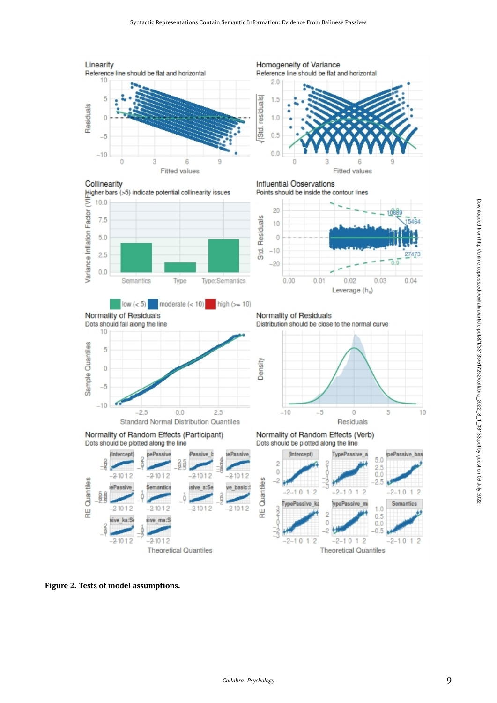<span id="page-8-0"></span>

**Figure 2. Tests of model assumptions.**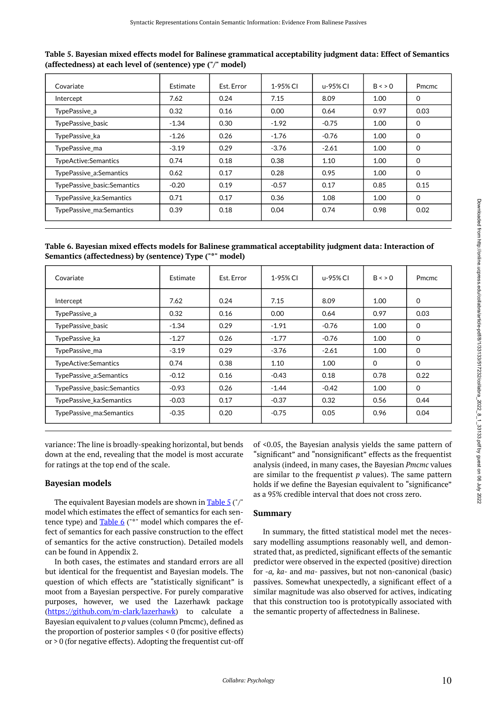<span id="page-9-0"></span>

| Table 5. Bayesian mixed effects model for Balinese grammatical acceptability judgment data: Effect of Semantics |
|-----------------------------------------------------------------------------------------------------------------|
| (affectedness) at each level of (sentence) ype ("/" model)                                                      |

| Covariate                   | Estimate | Est. Error | 1-95% CI          | u-95% CI | $B \leq 0$ | Pmcmc    |
|-----------------------------|----------|------------|-------------------|----------|------------|----------|
| Intercept                   | 7.62     | 0.24       | 7.15              | 8.09     | 1.00       | $\Omega$ |
| TypePassive a               | 0.32     | 0.16       | 0.00 <sub>1</sub> | 0.64     | 0.97       | 0.03     |
| <b>TypePassive basic</b>    | $-1.34$  | 0.30       | $-1.92$           | $-0.75$  | 1.00       | $\Omega$ |
| TypePassive ka              | $-1.26$  | 0.26       | $-1.76$           | $-0.76$  | 1.00       | $\Omega$ |
| TypePassive ma              | $-3.19$  | 0.29       | $-3.76$           | $-2.61$  | 1.00       | $\Omega$ |
| TypeActive:Semantics        | 0.74     | 0.18       | 0.38              | 1.10     | 1.00       | $\Omega$ |
| TypePassive a:Semantics     | 0.62     | 0.17       | 0.28              | 0.95     | 1.00       | $\Omega$ |
| TypePassive_basic:Semantics | $-0.20$  | 0.19       | $-0.57$           | 0.17     | 0.85       | 0.15     |
| TypePassive ka:Semantics    | 0.71     | 0.17       | 0.36              | 1.08     | 1.00       | $\Omega$ |
| TypePassive ma:Semantics    | 0.39     | 0.18       | 0.04              | 0.74     | 0.98       | 0.02     |

<span id="page-9-1"></span>**Table 6. Bayesian mixed effects models for Balinese grammatical acceptability judgment data: Interaction of Semantics (affectedness) by (sentence) Type ("\*" model)** 

| Covariate                   | Estimate | Est. Error | 1-95% CI | u-95% CI | $B \leqslant$ > 0 | <b>Pmcmc</b> |
|-----------------------------|----------|------------|----------|----------|-------------------|--------------|
| Intercept                   | 7.62     | 0.24       | 7.15     | 8.09     | 1.00              | $\Omega$     |
| TypePassive a               | 0.32     | 0.16       | 0.00     | 0.64     | 0.97              | 0.03         |
| TypePassive basic           | $-1.34$  | 0.29       | $-1.91$  | $-0.76$  | 1.00              | 0            |
| TypePassive ka              | $-1.27$  | 0.26       | $-1.77$  | $-0.76$  | 1.00              | $\Omega$     |
| TypePassive_ma              | $-3.19$  | 0.29       | $-3.76$  | $-2.61$  | 1.00              | $\Omega$     |
| TypeActive:Semantics        | 0.74     | 0.38       | 1.10     | 1.00     | $\Omega$          | $\Omega$     |
| TypePassive a:Semantics     | $-0.12$  | 0.16       | $-0.43$  | 0.18     | 0.78              | 0.22         |
| TypePassive basic:Semantics | $-0.93$  | 0.26       | $-1.44$  | $-0.42$  | 1.00              | $\Omega$     |
| TypePassive_ka:Semantics    | $-0.03$  | 0.17       | $-0.37$  | 0.32     | 0.56              | 0.44         |
| TypePassive ma:Semantics    | $-0.35$  | 0.20       | $-0.75$  | 0.05     | 0.96              | 0.04         |

variance: The line is broadly-speaking horizontal, but bends down at the end, revealing that the model is most accurate for ratings at the top end of the scale.

# **Bayesian models**

The equivalent Bayesian models are shown in [Table 5](#page-9-0) ("/" model which estimates the effect of semantics for each sentence type) and [Table 6](#page-9-1) ("\*" model which compares the effect of semantics for each passive construction to the effect of semantics for the active construction). Detailed models can be found in Appendix 2.

In both cases, the estimates and standard errors are all but identical for the frequentist and Bayesian models. The question of which effects are "statistically significant" is moot from a Bayesian perspective. For purely comparative purposes, however, we used the Lazerhawk package [\(https://github.com/m-clark/lazerhawk](https://github.com/m-clark/lazerhawk)) to calculate a Bayesian equivalent to *p* values (column Pmcmc), defined as the proportion of posterior samples < 0 (for positive effects) or > 0 (for negative effects). Adopting the frequentist cut-off of <0.05, the Bayesian analysis yields the same pattern of "significant" and "nonsignificant" effects as the frequentist analysis (indeed, in many cases, the Bayesian *Pmcmc* values are similar to the frequentist *p* values). The same pattern holds if we define the Bayesian equivalent to "significance" as a 95% credible interval that does not cross zero.

# **Summary**

In summary, the fitted statistical model met the necessary modelling assumptions reasonably well, and demonstrated that, as predicted, significant effects of the semantic predictor were observed in the expected (positive) direction for -*a, ka-* and *ma-* passives, but not non-canonical (basic) passives. Somewhat unexpectedly, a significant effect of a similar magnitude was also observed for actives, indicating that this construction too is prototypically associated with the semantic property of affectedness in Balinese.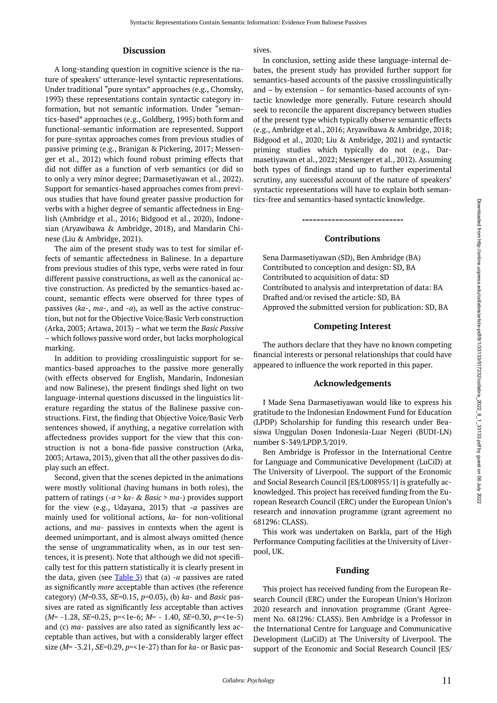#### **Discussion**

A long-standing question in cognitive science is the nature of speakers' utterance-level syntactic representations. Under traditional "pure syntax" approaches (e.g., Chomsky, 1993) these representations contain syntactic category information, but not semantic information. Under "semantics-based" approaches (e.g., Goldberg, 1995) both form and functional-semantic information are represented. Support for pure-syntax approaches comes from previous studies of passive priming (e.g., Branigan & Pickering, 2017; Messenger et al., 2012) which found robust priming effects that did not differ as a function of verb semantics (or did so to only a very minor degree; Darmasetiyawan et al., 2022). Support for semantics-based approaches comes from previous studies that have found greater passive production for verbs with a higher degree of semantic affectedness in English (Ambridge et al., 2016; Bidgood et al., 2020), Indonesian (Aryawibawa & Ambridge, 2018), and Mandarin Chinese (Liu & Ambridge, 2021).

The aim of the present study was to test for similar effects of semantic affectedness in Balinese. In a departure from previous studies of this type, verbs were rated in four different passive constructions, as well as the canonical active construction. As predicted by the semantics-based account, semantic effects were observed for three types of passives (*ka-*, *ma-*, and *-a*), as well as the active construction, but not for the Objective Voice/Basic Verb construction (Arka, 2003; Artawa, 2013) – what we term the *Basic Passive*  – which follows passive word order, but lacks morphological marking.

In addition to providing crosslinguistic support for semantics-based approaches to the passive more generally (with effects observed for English, Mandarin, Indonesian and now Balinese), the present findings shed light on two language-internal questions discussed in the linguistics literature regarding the status of the Balinese passive constructions. First, the finding that Objective Voice/Basic Verb sentences showed, if anything, a negative correlation with affectedness provides support for the view that this construction is not a bona-fide passive construction (Arka, 2003; Artawa, 2013), given that all the other passives do display such an effect.

Second, given that the scenes depicted in the animations were mostly volitional (having humans in both roles), the pattern of ratings (*-a* > *ka- & Basic* > *ma-*) provides support for the view (e.g., Udayana, 2013) that -*a* passives are mainly used for volitional actions, *ka*- for non-volitional actions, and *ma-* passives in contexts when the agent is deemed unimportant, and is almost always omitted (hence the sense of ungrammaticality when, as in our test sentences, it is present). Note that although we did not specifically test for this pattern statistically it is clearly present in the data, given (see [Table 3](#page-7-0)) that (a) *-a* passives are rated as significantly *more* acceptable than actives (the reference category) (*M*=0.33, *SE*=0.15, *p*=0.03), (b) *ka-* and *Basic* passives are rated as significantly *less* acceptable than actives (*M*= -1.28, *SE*=0.25, p=<1e-6; *M=* - 1.40, *SE*=0.30, *p*=<1e-5) and (c) *ma-* passives are also rated as significantly less acceptable than actives, but with a considerably larger effect size (*M*= -3.21, *SE*=0.29, *p*=<1e-27) than for *ka-* or Basic passives.

In conclusion, setting aside these language-internal debates, the present study has provided further support for semantics-based accounts of the passive crosslinguistically and – by extension – for semantics-based accounts of syntactic knowledge more generally. Future research should seek to reconcile the apparent discrepancy between studies of the present type which typically observe semantic effects (e.g., Ambridge et al., 2016; Aryawibawa & Ambridge, 2018; Bidgood et al., 2020; Liu & Ambridge, 2021) and syntactic priming studies which typically do not (e.g., Darmasetiyawan et al., 2022; Messenger et al., 2012). Assuming both types of findings stand up to further experimental scrutiny, any successful account of the nature of speakers' syntactic representations will have to explain both semantics-free and semantics-based syntactic knowledge.

#### **Contributions**

Sena Darmasetiyawan (SD), Ben Ambridge (BA) Contributed to conception and design: SD, BA Contributed to acquisition of data: SD Contributed to analysis and interpretation of data: BA Drafted and/or revised the article: SD, BA Approved the submitted version for publication: SD, BA

#### **Competing Interest**

The authors declare that they have no known competing financial interests or personal relationships that could have appeared to influence the work reported in this paper.

#### **Acknowledgements**

I Made Sena Darmasetiyawan would like to express his gratitude to the Indonesian Endowment Fund for Education (LPDP) Scholarship for funding this research under Beasiswa Unggulan Dosen Indonesia-Luar Negeri (BUDI-LN) number S-349/LPDP.3/2019.

Ben Ambridge is Professor in the International Centre for Language and Communicative Development (LuCiD) at The University of Liverpool. The support of the Economic and Social Research Council [ES/L008955/1] is gratefully acknowledged. This project has received funding from the European Research Council (ERC) under the European Union's research and innovation programme (grant agreement no 681296: CLASS).

This work was undertaken on Barkla, part of the High Performance Computing facilities at the University of Liverpool, UK.

### **Funding**

This project has received funding from the European Research Council (ERC) under the European Union's Horizon 2020 research and innovation programme (Grant Agreement No. 681296: CLASS). Ben Ambridge is a Professor in the International Centre for Language and Communicative Development (LuCiD) at The University of Liverpool. The support of the Economic and Social Research Council [ES/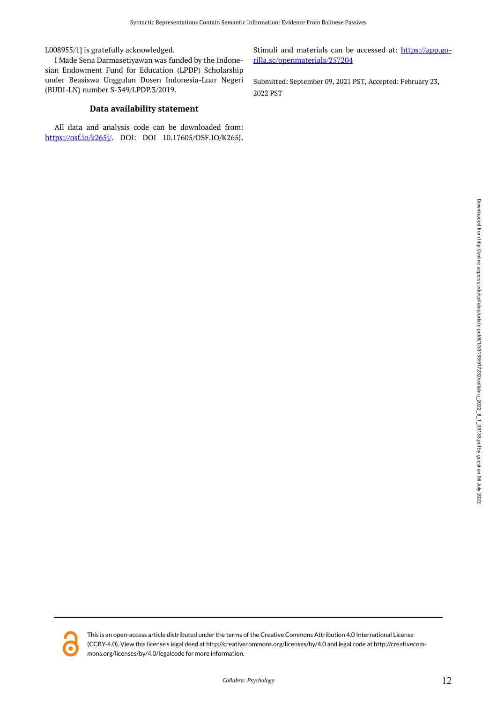L008955/1] is gratefully acknowledged.

I Made Sena Darmasetiyawan was funded by the Indonesian Endowment Fund for Education (LPDP) Scholarship under Beasiswa Unggulan Dosen Indonesia-Luar Negeri (BUDI-LN) number S-349/LPDP.3/2019.

#### **Data availability statement**

All data and analysis code can be downloaded from: [https://osf.io/k265j/.](https://osf.io/k265j/) DOI: DOI 10.17605/OSF.IO/K265J.

Stimuli and materials can be accessed at: [https://app.go](https://app.gorilla.sc/openmaterials/257204)[rilla.sc/openmaterials/257204](https://app.gorilla.sc/openmaterials/257204) 

Submitted: September 09, 2021 PST, Accepted: February 23, 2022 PST



This is an open-access article distributed under the terms of the Creative Commons Attribution 4.0 International License (CCBY-4.0). View this license's legal deed at http://creativecommons.org/licenses/by/4.0 and legal code at http://creativecommons.org/licenses/by/4.0/legalcode for more information.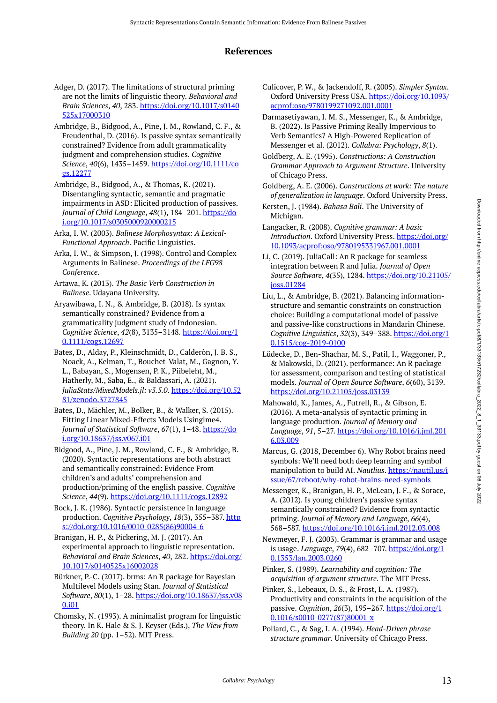# **References**

- Adger, D. (2017). The limitations of structural priming are not the limits of linguistic theory. *Behavioral and Brain Sciences*, *40*, 283. [https://doi.org/10.1017/s0140](https://doi.org/10.1017/s0140525x17000310) [525x17000310](https://doi.org/10.1017/s0140525x17000310)
- Ambridge, B., Bidgood, A., Pine, J. M., Rowland, C. F., & Freudenthal, D. (2016). Is passive syntax semantically constrained? Evidence from adult grammaticality judgment and comprehension studies. *Cognitive Science*, *40*(6), 1435–1459. [https://doi.org/10.1111/co](https://doi.org/10.1111/cogs.12277) [gs.12277](https://doi.org/10.1111/cogs.12277)
- Ambridge, B., Bidgood, A., & Thomas, K. (2021). Disentangling syntactic, semantic and pragmatic impairments in ASD: Elicited production of passives. *Journal of Child Language*, *48*(1), 184–201. [https://do](https://doi.org/10.1017/s0305000920000215) [i.org/10.1017/s0305000920000215](https://doi.org/10.1017/s0305000920000215)
- Arka, I. W. (2003). *Balinese Morphosyntax: A Lexical-Functional Approach*. Pacific Linguistics.
- Arka, I. W., & Simpson, J. (1998). Control and Complex Arguments in Balinese. *Proceedings of the LFG98 Conference*.
- Artawa, K. (2013). *The Basic Verb Construction in Balinese*. Udayana University.
- Aryawibawa, I. N., & Ambridge, B. (2018). Is syntax semantically constrained? Evidence from a grammaticality judgment study of Indonesian. *Cognitive Science*, *42*(8), 3135–3148. [https://doi.org/1](https://doi.org/10.1111/cogs.12697) [0.1111/cogs.12697](https://doi.org/10.1111/cogs.12697)
- Bates, D., Alday, P., Kleinschmidt, D., Calderòn, J. B. S., Noack, A., Kelman, T., Bouchet-Valat, M., Gagnon, Y. L., Babayan, S., Mogensen, P. K., Piibeleht, M., Hatherly, M., Saba, E., & Baldassari, A. (2021). *JuliaStats/MixedModels.jl: v3.5.0*. [https://doi.org/10.52](https://doi.org/10.5281/zenodo.3727845) [81/zenodo.3727845](https://doi.org/10.5281/zenodo.3727845)
- Bates, D., Mächler, M., Bolker, B., & Walker, S. (2015). Fitting Linear Mixed-Effects Models Usinglme4. *Journal of Statistical Software*, *67*(1), 1–48. [https://do](https://doi.org/10.18637/jss.v067.i01) [i.org/10.18637/jss.v067.i01](https://doi.org/10.18637/jss.v067.i01)
- Bidgood, A., Pine, J. M., Rowland, C. F., & Ambridge, B. (2020). Syntactic representations are both abstract and semantically constrained: Evidence From children's and adults' comprehension and production/priming of the english passive. *Cognitive Science*, *44*(9).<https://doi.org/10.1111/cogs.12892>
- Bock, J. K. (1986). Syntactic persistence in language production. *Cognitive Psychology*, *18*(3), 355–387. [http](https://doi.org/10.1016/0010-0285(86)90004-6) [s://doi.org/10.1016/0010-0285\(86\)90004-6](https://doi.org/10.1016/0010-0285(86)90004-6)
- Branigan, H. P., & Pickering, M. J. (2017). An experimental approach to linguistic representation. *Behavioral and Brain Sciences*, *40*, 282. [https://doi.org/](https://doi.org/10.1017/s0140525x16002028) [10.1017/s0140525x16002028](https://doi.org/10.1017/s0140525x16002028)
- Bürkner, P.-C. (2017). brms: An R package for Bayesian Multilevel Models using Stan. *Journal of Statistical Software*, *80*(1), 1–28. [https://doi.org/10.18637/jss.v08](https://doi.org/10.18637/jss.v080.i01) [0.i01](https://doi.org/10.18637/jss.v080.i01)
- Chomsky, N. (1993). A minimalist program for linguistic theory. In K. Hale & S. J. Keyser (Eds.), *The View from Building 20* (pp. 1–52). MIT Press.
- Culicover, P. W., & Jackendoff, R. (2005). *Simpler Syntax*. Oxford University Press USA. [https://doi.org/10.1093/](https://doi.org/10.1093/acprof:oso/9780199271092.001.0001) [acprof:oso/9780199271092.001.0001](https://doi.org/10.1093/acprof:oso/9780199271092.001.0001)
- Darmasetiyawan, I. M. S., Messenger, K., & Ambridge, B. (2022). Is Passive Priming Really Impervious to Verb Semantics? A High-Powered Replication of Messenger et al. (2012). *Collabra: Psychology*, *8*(1).
- Goldberg, A. E. (1995). *Constructions: A Construction Grammar Approach to Argument Structure*. University of Chicago Press.
- Goldberg, A. E. (2006). *Constructions at work: The nature of generalization in language*. Oxford University Press.
- Kersten, J. (1984). *Bahasa Bali*. The University of Michigan.
- Langacker, R. (2008). *Cognitive grammar: A basic Introduction*. Oxford University Press. [https://doi.org/](https://doi.org/10.1093/acprof:oso/9780195331967.001.0001) [10.1093/acprof:oso/9780195331967.001.0001](https://doi.org/10.1093/acprof:oso/9780195331967.001.0001)
- Li, C. (2019). JuliaCall: An R package for seamless integration between R and Julia. *Journal of Open Source Software*, *4*(35), 1284. [https://doi.org/10.21105/](https://doi.org/10.21105/joss.01284) [joss.01284](https://doi.org/10.21105/joss.01284)
- Liu, L., & Ambridge, B. (2021). Balancing informationstructure and semantic constraints on construction choice: Building a computational model of passive and passive-like constructions in Mandarin Chinese. *Cognitive Linguistics*, *32*(3), 349–388. [https://doi.org/1](https://doi.org/10.1515/cog-2019-0100) [0.1515/cog-2019-0100](https://doi.org/10.1515/cog-2019-0100)
- Lüdecke, D., Ben-Shachar, M. S., Patil, I., Waggoner, P., & Makowski, D. (2021). performance: An R package for assessment, comparison and testing of statistical models. *Journal of Open Source Software*, *6*(60), 3139. <https://doi.org/10.21105/joss.03139>
- Mahowald, K., James, A., Futrell, R., & Gibson, E. (2016). A meta-analysis of syntactic priming in language production. *Journal of Memory and Language*, *91*, 5–27. [https://doi.org/10.1016/j.jml.201](https://doi.org/10.1016/j.jml.2016.03.009) [6.03.009](https://doi.org/10.1016/j.jml.2016.03.009)
- Marcus, G. (2018, December 6). Why Robot brains need symbols: We'll need both deep learning and symbol manipulation to build AI. *Nautlius*. [https://nautil.us/i](https://nautil.us/issue/67/reboot/why-robot-brains-need-symbols) [ssue/67/reboot/why-robot-brains-need-symbols](https://nautil.us/issue/67/reboot/why-robot-brains-need-symbols)
- Messenger, K., Branigan, H. P., McLean, J. F., & Sorace, A. (2012). Is young children's passive syntax semantically constrained? Evidence from syntactic priming. *Journal of Memory and Language*, *66*(4), 568–587.<https://doi.org/10.1016/j.jml.2012.03.008>
- Newmeyer, F. J. (2003). Grammar is grammar and usage is usage. *Language*, *79*(4), 682–707. [https://doi.org/1](https://doi.org/10.1353/lan.2003.0260) [0.1353/lan.2003.0260](https://doi.org/10.1353/lan.2003.0260)
- Pinker, S. (1989). *Learnability and cognition: The acquisition of argument structure*. The MIT Press.
- Pinker, S., Lebeaux, D. S., & Frost, L. A. (1987). Productivity and constraints in the acquisition of the passive. *Cognition*, *26*(3), 195–267. [https://doi.org/1](https://doi.org/10.1016/s0010-0277(87)80001-x) [0.1016/s0010-0277\(87\)80001-x](https://doi.org/10.1016/s0010-0277(87)80001-x)
- Pollard, C., & Sag, I. A. (1994). *Head-Driven phrase structure grammar*. University of Chicago Press.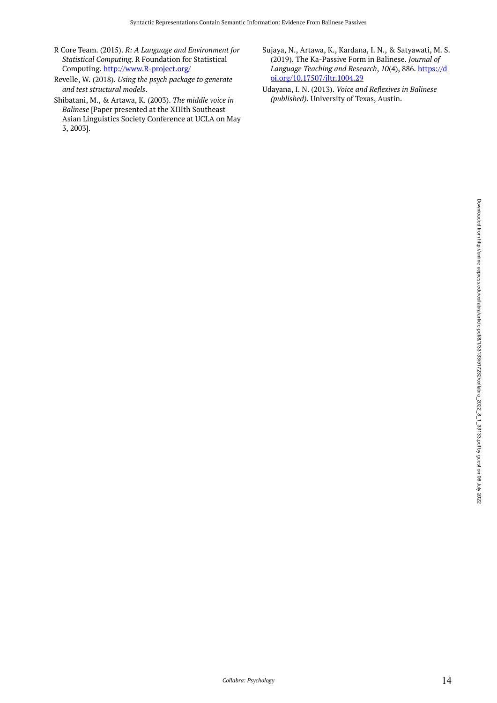- R Core Team. (2015). *R: A Language and Environment for Statistical Computing*. R Foundation for Statistical Computing. [http://www.R-project.org/](http://www.r-project.org/)
- Revelle, W. (2018). *Using the psych package to generate and test structural models*.
- Shibatani, M., & Artawa, K. (2003). *The middle voice in Balinese* [Paper presented at the XIIIth Southeast Asian Linguistics Society Conference at UCLA on May 3, 2003].
- Sujaya, N., Artawa, K., Kardana, I. N., & Satyawati, M. S. (2019). The Ka-Passive Form in Balinese. *Journal of Language Teaching and Research*, *10*(4), 886. [https://d](https://doi.org/10.17507/jltr.1004.29) [oi.org/10.17507/jltr.1004.29](https://doi.org/10.17507/jltr.1004.29)
- Udayana, I. N. (2013). *Voice and Reflexives in Balinese (published)*. University of Texas, Austin.